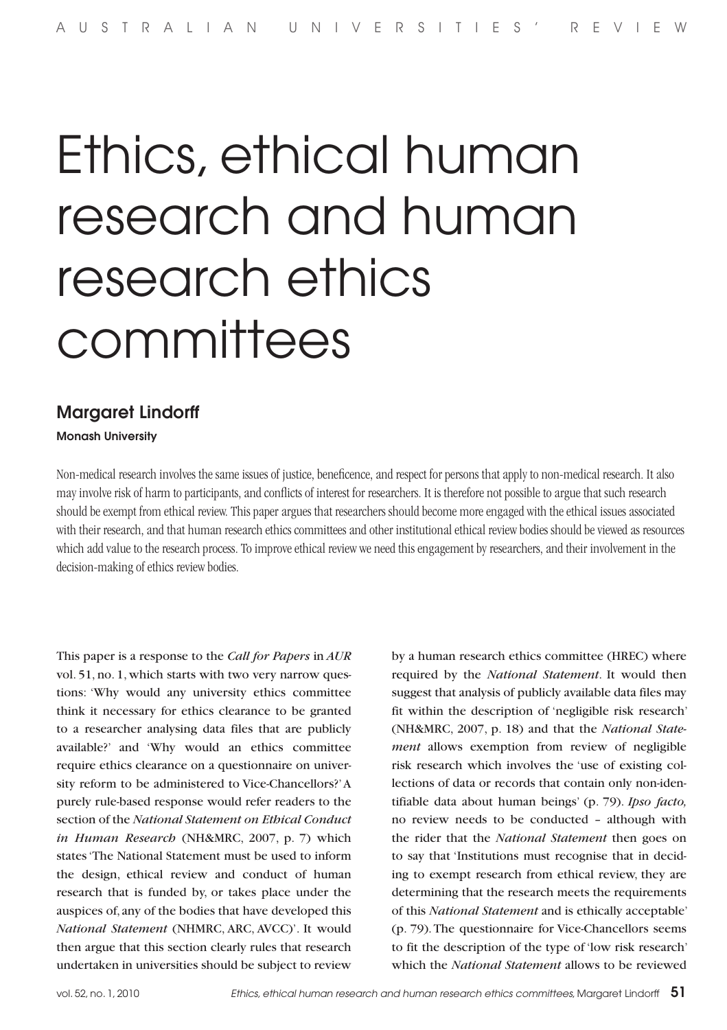# Ethics, ethical human research and human research ethics committees

# Margaret Lindorff

Monash University

Non-medical research involves the same issues of justice, beneficence, and respect for persons that apply to non-medical research. It also may involve risk of harm to participants, and conflicts of interest for researchers. It is therefore not possible to argue that such research should be exempt from ethical review. This paper argues that researchers should become more engaged with the ethical issues associated with their research, and that human research ethics committees and other institutional ethical review bodies should be viewed as resources which add value to the research process. To improve ethical review we need this engagement by researchers, and their involvement in the decision-making of ethics review bodies.

This paper is a response to the *Call for Papers* in *AUR*  vol. 51, no. 1, which starts with two very narrow questions: 'Why would any university ethics committee think it necessary for ethics clearance to be granted to a researcher analysing data files that are publicly available?' and 'Why would an ethics committee require ethics clearance on a questionnaire on university reform to be administered to Vice-Chancellors?' A purely rule-based response would refer readers to the section of the *National Statement on Ethical Conduct in Human Research* (NH&MRC, 2007, p. 7) which states 'The National Statement must be used to inform the design, ethical review and conduct of human research that is funded by, or takes place under the auspices of, any of the bodies that have developed this *National Statement* (NHMRC, ARC, AVCC)'. It would then argue that this section clearly rules that research undertaken in universities should be subject to review

by a human research ethics committee (HREC) where required by the *National Statement*. It would then suggest that analysis of publicly available data files may fit within the description of 'negligible risk research' (NH&MRC, 2007, p. 18) and that the *National Statement* allows exemption from review of negligible risk research which involves the 'use of existing collections of data or records that contain only non-identifiable data about human beings' (p. 79). *Ipso facto,*  no review needs to be conducted – although with the rider that the *National Statement* then goes on to say that 'Institutions must recognise that in deciding to exempt research from ethical review, they are determining that the research meets the requirements of this *National Statement* and is ethically acceptable' (p. 79). The questionnaire for Vice-Chancellors seems to fit the description of the type of 'low risk research' which the *National Statement* allows to be reviewed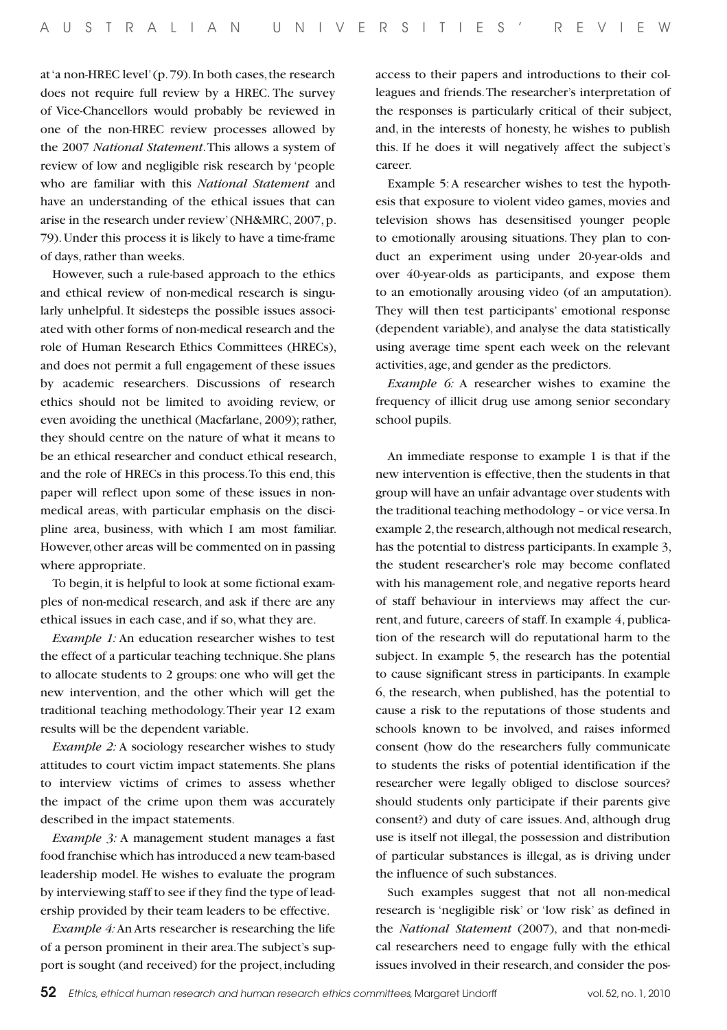at 'a non-HREC level' (p. 79). In both cases, the research does not require full review by a HREC. The survey of Vice-Chancellors would probably be reviewed in one of the non-HREC review processes allowed by the 2007 *National Statement*. This allows a system of review of low and negligible risk research by 'people who are familiar with this *National Statement* and have an understanding of the ethical issues that can arise in the research under review' (NH&MRC, 2007, p. 79). Under this process it is likely to have a time-frame of days, rather than weeks.

However, such a rule-based approach to the ethics and ethical review of non-medical research is singularly unhelpful. It sidesteps the possible issues associated with other forms of non-medical research and the role of Human Research Ethics Committees (HRECs), and does not permit a full engagement of these issues by academic researchers. Discussions of research ethics should not be limited to avoiding review, or even avoiding the unethical (Macfarlane, 2009); rather, they should centre on the nature of what it means to be an ethical researcher and conduct ethical research, and the role of HRECs in this process. To this end, this paper will reflect upon some of these issues in nonmedical areas, with particular emphasis on the discipline area, business, with which I am most familiar. However, other areas will be commented on in passing where appropriate.

To begin, it is helpful to look at some fictional examples of non-medical research, and ask if there are any ethical issues in each case, and if so, what they are.

*Example 1:* An education researcher wishes to test the effect of a particular teaching technique. She plans to allocate students to 2 groups: one who will get the new intervention, and the other which will get the traditional teaching methodology. Their year 12 exam results will be the dependent variable.

*Example 2:* A sociology researcher wishes to study attitudes to court victim impact statements. She plans to interview victims of crimes to assess whether the impact of the crime upon them was accurately described in the impact statements.

*Example 3:* A management student manages a fast food franchise which has introduced a new team-based leadership model. He wishes to evaluate the program by interviewing staff to see if they find the type of leadership provided by their team leaders to be effective.

*Example 4:* An Arts researcher is researching the life of a person prominent in their area. The subject's support is sought (and received) for the project, including access to their papers and introductions to their colleagues and friends. The researcher's interpretation of the responses is particularly critical of their subject, and, in the interests of honesty, he wishes to publish this. If he does it will negatively affect the subject's career.

Example 5: A researcher wishes to test the hypothesis that exposure to violent video games, movies and television shows has desensitised younger people to emotionally arousing situations. They plan to conduct an experiment using under 20-year-olds and over 40-year-olds as participants, and expose them to an emotionally arousing video (of an amputation). They will then test participants' emotional response (dependent variable), and analyse the data statistically using average time spent each week on the relevant activities, age, and gender as the predictors.

*Example 6:* A researcher wishes to examine the frequency of illicit drug use among senior secondary school pupils.

An immediate response to example 1 is that if the new intervention is effective, then the students in that group will have an unfair advantage over students with the traditional teaching methodology – or vice versa. In example 2, the research, although not medical research, has the potential to distress participants. In example 3, the student researcher's role may become conflated with his management role, and negative reports heard of staff behaviour in interviews may affect the current, and future, careers of staff. In example 4, publication of the research will do reputational harm to the subject. In example 5, the research has the potential to cause significant stress in participants. In example 6, the research, when published, has the potential to cause a risk to the reputations of those students and schools known to be involved, and raises informed consent (how do the researchers fully communicate to students the risks of potential identification if the researcher were legally obliged to disclose sources? should students only participate if their parents give consent?) and duty of care issues. And, although drug use is itself not illegal, the possession and distribution of particular substances is illegal, as is driving under the influence of such substances.

Such examples suggest that not all non-medical research is 'negligible risk' or 'low risk' as defined in the *National Statement* (2007), and that non-medical researchers need to engage fully with the ethical issues involved in their research, and consider the pos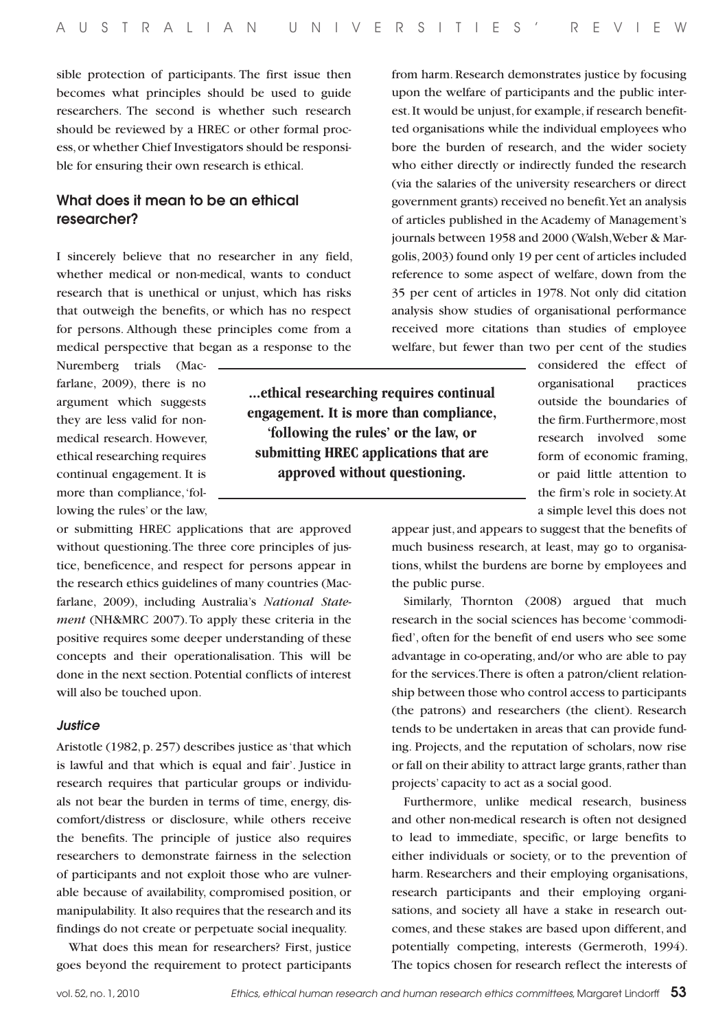sible protection of participants. The first issue then becomes what principles should be used to guide researchers. The second is whether such research should be reviewed by a HREC or other formal process, or whether Chief Investigators should be responsible for ensuring their own research is ethical.

# What does it mean to be an ethical researcher?

I sincerely believe that no researcher in any field, whether medical or non-medical, wants to conduct research that is unethical or unjust, which has risks that outweigh the benefits, or which has no respect for persons. Although these principles come from a medical perspective that began as a response to the

Nuremberg trials (Macfarlane, 2009), there is no argument which suggests they are less valid for nonmedical research. However, ethical researching requires continual engagement. It is more than compliance, 'following the rules' or the law,

or submitting HREC applications that are approved without questioning. The three core principles of justice, beneficence, and respect for persons appear in the research ethics guidelines of many countries (Macfarlane, 2009), including Australia's *National Statement* (NH&MRC 2007). To apply these criteria in the positive requires some deeper understanding of these concepts and their operationalisation. This will be done in the next section. Potential conflicts of interest will also be touched upon.

#### *Justice*

Aristotle (1982, p. 257) describes justice as 'that which is lawful and that which is equal and fair'. Justice in research requires that particular groups or individuals not bear the burden in terms of time, energy, discomfort/distress or disclosure, while others receive the benefits. The principle of justice also requires researchers to demonstrate fairness in the selection of participants and not exploit those who are vulnerable because of availability, compromised position, or manipulability. It also requires that the research and its findings do not create or perpetuate social inequality.

What does this mean for researchers? First, justice goes beyond the requirement to protect participants

from harm. Research demonstrates justice by focusing upon the welfare of participants and the public interest. It would be unjust, for example, if research benefitted organisations while the individual employees who bore the burden of research, and the wider society who either directly or indirectly funded the research (via the salaries of the university researchers or direct government grants) received no benefit. Yet an analysis of articles published in the Academy of Management's journals between 1958 and 2000 (Walsh, Weber & Margolis, 2003) found only 19 per cent of articles included reference to some aspect of welfare, down from the 35 per cent of articles in 1978. Not only did citation analysis show studies of organisational performance received more citations than studies of employee welfare, but fewer than two per cent of the studies

**...ethical researching requires continual engagement. It is more than compliance, 'following the rules' or the law, or submitting HREC applications that are approved without questioning.**

considered the effect of organisational practices outside the boundaries of the firm. Furthermore, most research involved some form of economic framing, or paid little attention to the firm's role in society. At a simple level this does not

appear just, and appears to suggest that the benefits of much business research, at least, may go to organisations, whilst the burdens are borne by employees and the public purse.

Similarly, Thornton (2008) argued that much research in the social sciences has become 'commodified', often for the benefit of end users who see some advantage in co-operating, and/or who are able to pay for the services. There is often a patron/client relationship between those who control access to participants (the patrons) and researchers (the client). Research tends to be undertaken in areas that can provide funding. Projects, and the reputation of scholars, now rise or fall on their ability to attract large grants, rather than projects' capacity to act as a social good.

Furthermore, unlike medical research, business and other non-medical research is often not designed to lead to immediate, specific, or large benefits to either individuals or society, or to the prevention of harm. Researchers and their employing organisations, research participants and their employing organisations, and society all have a stake in research outcomes, and these stakes are based upon different, and potentially competing, interests (Germeroth, 1994). The topics chosen for research reflect the interests of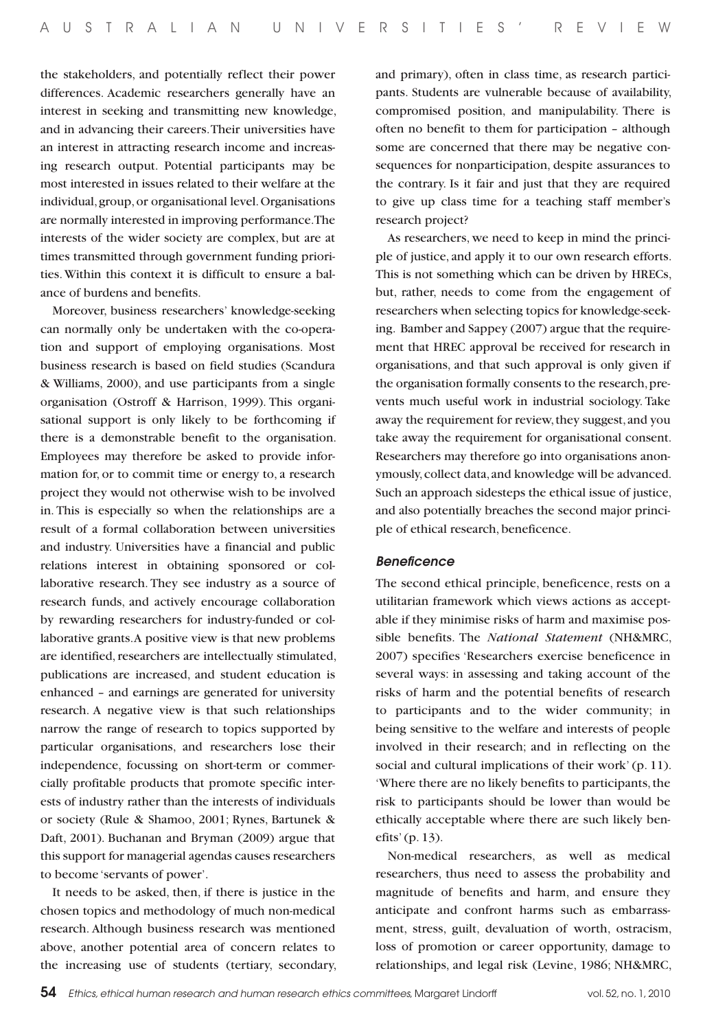the stakeholders, and potentially reflect their power differences. Academic researchers generally have an interest in seeking and transmitting new knowledge, and in advancing their careers. Their universities have an interest in attracting research income and increasing research output. Potential participants may be most interested in issues related to their welfare at the individual, group, or organisational level. Organisations are normally interested in improving performance. The interests of the wider society are complex, but are at times transmitted through government funding priorities. Within this context it is difficult to ensure a balance of burdens and benefits.

Moreover, business researchers' knowledge-seeking can normally only be undertaken with the co-operation and support of employing organisations. Most business research is based on field studies (Scandura & Williams, 2000), and use participants from a single organisation (Ostroff & Harrison, 1999). This organisational support is only likely to be forthcoming if there is a demonstrable benefit to the organisation. Employees may therefore be asked to provide information for, or to commit time or energy to, a research project they would not otherwise wish to be involved in. This is especially so when the relationships are a result of a formal collaboration between universities and industry. Universities have a financial and public relations interest in obtaining sponsored or collaborative research. They see industry as a source of research funds, and actively encourage collaboration by rewarding researchers for industry-funded or collaborative grants. A positive view is that new problems are identified, researchers are intellectually stimulated, publications are increased, and student education is enhanced – and earnings are generated for university research. A negative view is that such relationships narrow the range of research to topics supported by particular organisations, and researchers lose their independence, focussing on short-term or commercially profitable products that promote specific interests of industry rather than the interests of individuals or society (Rule & Shamoo, 2001; Rynes, Bartunek & Daft, 2001). Buchanan and Bryman (2009) argue that this support for managerial agendas causes researchers to become 'servants of power'.

It needs to be asked, then, if there is justice in the chosen topics and methodology of much non-medical research. Although business research was mentioned above, another potential area of concern relates to the increasing use of students (tertiary, secondary, and primary), often in class time, as research participants. Students are vulnerable because of availability, compromised position, and manipulability. There is often no benefit to them for participation – although some are concerned that there may be negative consequences for nonparticipation, despite assurances to the contrary. Is it fair and just that they are required to give up class time for a teaching staff member's research project?

As researchers, we need to keep in mind the principle of justice, and apply it to our own research efforts. This is not something which can be driven by HRECs, but, rather, needs to come from the engagement of researchers when selecting topics for knowledge-seeking. Bamber and Sappey (2007) argue that the requirement that HREC approval be received for research in organisations, and that such approval is only given if the organisation formally consents to the research, prevents much useful work in industrial sociology. Take away the requirement for review, they suggest, and you take away the requirement for organisational consent. Researchers may therefore go into organisations anonymously, collect data, and knowledge will be advanced. Such an approach sidesteps the ethical issue of justice, and also potentially breaches the second major principle of ethical research, beneficence.

#### *Beneficence*

The second ethical principle, beneficence, rests on a utilitarian framework which views actions as acceptable if they minimise risks of harm and maximise possible benefits. The *National Statement* (NH&MRC, 2007) specifies 'Researchers exercise beneficence in several ways: in assessing and taking account of the risks of harm and the potential benefits of research to participants and to the wider community; in being sensitive to the welfare and interests of people involved in their research; and in reflecting on the social and cultural implications of their work' (p. 11). 'Where there are no likely benefits to participants, the risk to participants should be lower than would be ethically acceptable where there are such likely benefits' (p. 13).

Non-medical researchers, as well as medical researchers, thus need to assess the probability and magnitude of benefits and harm, and ensure they anticipate and confront harms such as embarrassment, stress, guilt, devaluation of worth, ostracism, loss of promotion or career opportunity, damage to relationships, and legal risk (Levine, 1986; NH&MRC,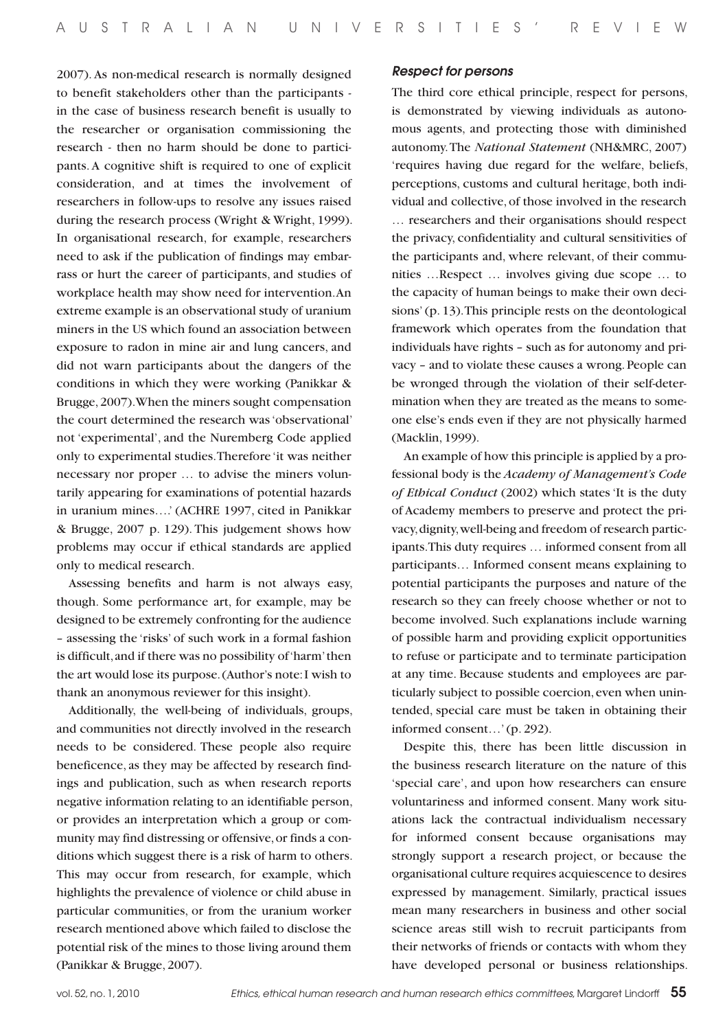2007). As non-medical research is normally designed to benefit stakeholders other than the participants in the case of business research benefit is usually to the researcher or organisation commissioning the research - then no harm should be done to participants. A cognitive shift is required to one of explicit consideration, and at times the involvement of researchers in follow-ups to resolve any issues raised during the research process (Wright & Wright, 1999). In organisational research, for example, researchers need to ask if the publication of findings may embarrass or hurt the career of participants, and studies of workplace health may show need for intervention. An extreme example is an observational study of uranium miners in the US which found an association between exposure to radon in mine air and lung cancers, and did not warn participants about the dangers of the conditions in which they were working (Panikkar & Brugge, 2007). When the miners sought compensation the court determined the research was 'observational' not 'experimental', and the Nuremberg Code applied only to experimental studies. Therefore 'it was neither necessary nor proper … to advise the miners voluntarily appearing for examinations of potential hazards in uranium mines….' (ACHRE 1997, cited in Panikkar & Brugge, 2007 p. 129). This judgement shows how problems may occur if ethical standards are applied only to medical research.

Assessing benefits and harm is not always easy, though. Some performance art, for example, may be designed to be extremely confronting for the audience – assessing the 'risks' of such work in a formal fashion is difficult, and if there was no possibility of 'harm' then the art would lose its purpose. (Author's note: I wish to thank an anonymous reviewer for this insight).

Additionally, the well-being of individuals, groups, and communities not directly involved in the research needs to be considered. These people also require beneficence, as they may be affected by research findings and publication, such as when research reports negative information relating to an identifiable person, or provides an interpretation which a group or community may find distressing or offensive, or finds a conditions which suggest there is a risk of harm to others. This may occur from research, for example, which highlights the prevalence of violence or child abuse in particular communities, or from the uranium worker research mentioned above which failed to disclose the potential risk of the mines to those living around them (Panikkar & Brugge, 2007).

#### *Respect for persons*

The third core ethical principle, respect for persons, is demonstrated by viewing individuals as autonomous agents, and protecting those with diminished autonomy. The *National Statement* (NH&MRC, 2007) 'requires having due regard for the welfare, beliefs, perceptions, customs and cultural heritage, both individual and collective, of those involved in the research … researchers and their organisations should respect the privacy, confidentiality and cultural sensitivities of the participants and, where relevant, of their communities …Respect … involves giving due scope … to the capacity of human beings to make their own decisions' (p. 13). This principle rests on the deontological framework which operates from the foundation that individuals have rights – such as for autonomy and privacy – and to violate these causes a wrong. People can be wronged through the violation of their self-determination when they are treated as the means to someone else's ends even if they are not physically harmed (Macklin, 1999).

An example of how this principle is applied by a professional body is the *Academy of Management's Code of Ethical Conduct* (2002) which states 'It is the duty of Academy members to preserve and protect the privacy, dignity, well-being and freedom of research participants. This duty requires … informed consent from all participants… Informed consent means explaining to potential participants the purposes and nature of the research so they can freely choose whether or not to become involved. Such explanations include warning of possible harm and providing explicit opportunities to refuse or participate and to terminate participation at any time. Because students and employees are particularly subject to possible coercion, even when unintended, special care must be taken in obtaining their informed consent…' (p. 292).

Despite this, there has been little discussion in the business research literature on the nature of this 'special care', and upon how researchers can ensure voluntariness and informed consent. Many work situations lack the contractual individualism necessary for informed consent because organisations may strongly support a research project, or because the organisational culture requires acquiescence to desires expressed by management. Similarly, practical issues mean many researchers in business and other social science areas still wish to recruit participants from their networks of friends or contacts with whom they have developed personal or business relationships.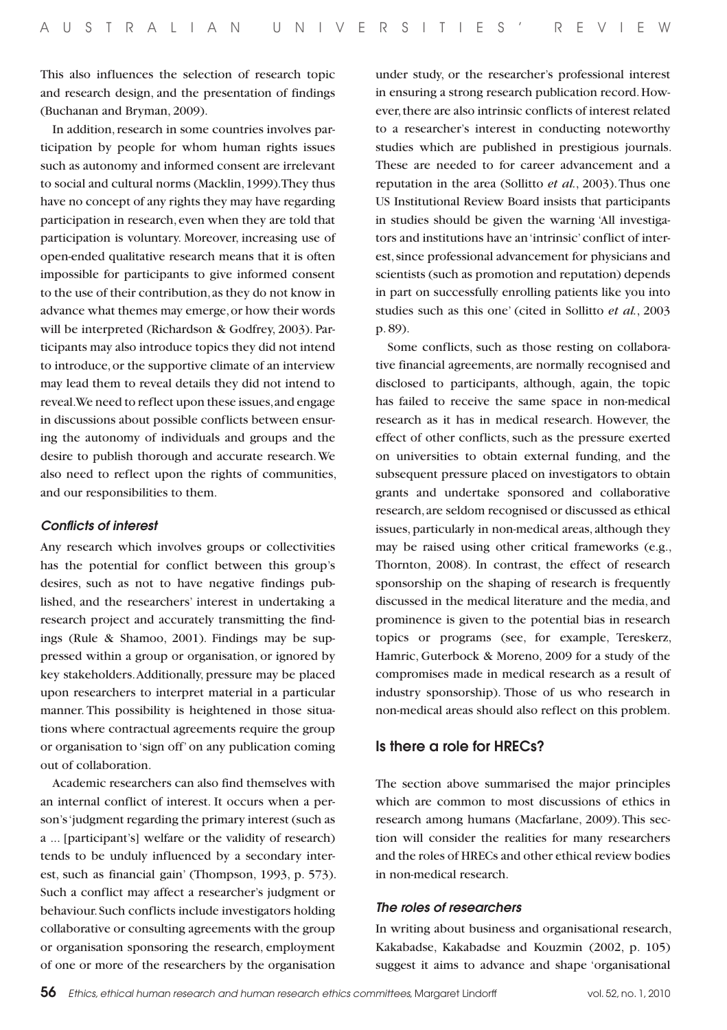This also influences the selection of research topic and research design, and the presentation of findings (Buchanan and Bryman, 2009).

In addition, research in some countries involves participation by people for whom human rights issues such as autonomy and informed consent are irrelevant to social and cultural norms (Macklin, 1999). They thus have no concept of any rights they may have regarding participation in research, even when they are told that participation is voluntary. Moreover, increasing use of open-ended qualitative research means that it is often impossible for participants to give informed consent to the use of their contribution, as they do not know in advance what themes may emerge, or how their words will be interpreted (Richardson & Godfrey, 2003). Participants may also introduce topics they did not intend to introduce, or the supportive climate of an interview may lead them to reveal details they did not intend to reveal. We need to reflect upon these issues, and engage in discussions about possible conflicts between ensuring the autonomy of individuals and groups and the desire to publish thorough and accurate research. We also need to reflect upon the rights of communities, and our responsibilities to them.

#### *Conflicts of interest*

Any research which involves groups or collectivities has the potential for conflict between this group's desires, such as not to have negative findings published, and the researchers' interest in undertaking a research project and accurately transmitting the findings (Rule & Shamoo, 2001). Findings may be suppressed within a group or organisation, or ignored by key stakeholders. Additionally, pressure may be placed upon researchers to interpret material in a particular manner. This possibility is heightened in those situations where contractual agreements require the group or organisation to 'sign off' on any publication coming out of collaboration.

Academic researchers can also find themselves with an internal conflict of interest. It occurs when a person's 'judgment regarding the primary interest (such as a ... [participant's] welfare or the validity of research) tends to be unduly influenced by a secondary interest, such as financial gain' (Thompson, 1993, p. 573). Such a conflict may affect a researcher's judgment or behaviour. Such conflicts include investigators holding collaborative or consulting agreements with the group or organisation sponsoring the research, employment of one or more of the researchers by the organisation

under study, or the researcher's professional interest in ensuring a strong research publication record. However, there are also intrinsic conflicts of interest related to a researcher's interest in conducting noteworthy studies which are published in prestigious journals. These are needed to for career advancement and a reputation in the area (Sollitto *et al.*, 2003). Thus one US Institutional Review Board insists that participants in studies should be given the warning 'All investigators and institutions have an 'intrinsic' conflict of interest, since professional advancement for physicians and scientists (such as promotion and reputation) depends in part on successfully enrolling patients like you into studies such as this one' (cited in Sollitto *et al.*, 2003 p. 89).

Some conflicts, such as those resting on collaborative financial agreements, are normally recognised and disclosed to participants, although, again, the topic has failed to receive the same space in non-medical research as it has in medical research. However, the effect of other conflicts, such as the pressure exerted on universities to obtain external funding, and the subsequent pressure placed on investigators to obtain grants and undertake sponsored and collaborative research, are seldom recognised or discussed as ethical issues, particularly in non-medical areas, although they may be raised using other critical frameworks (e.g., Thornton, 2008). In contrast, the effect of research sponsorship on the shaping of research is frequently discussed in the medical literature and the media, and prominence is given to the potential bias in research topics or programs (see, for example, Tereskerz, Hamric, Guterbock & Moreno, 2009 for a study of the compromises made in medical research as a result of industry sponsorship). Those of us who research in non-medical areas should also reflect on this problem.

### Is there a role for HRECs?

The section above summarised the major principles which are common to most discussions of ethics in research among humans (Macfarlane, 2009). This section will consider the realities for many researchers and the roles of HRECs and other ethical review bodies in non-medical research.

#### *The roles of researchers*

In writing about business and organisational research, Kakabadse, Kakabadse and Kouzmin (2002, p. 105) suggest it aims to advance and shape 'organisational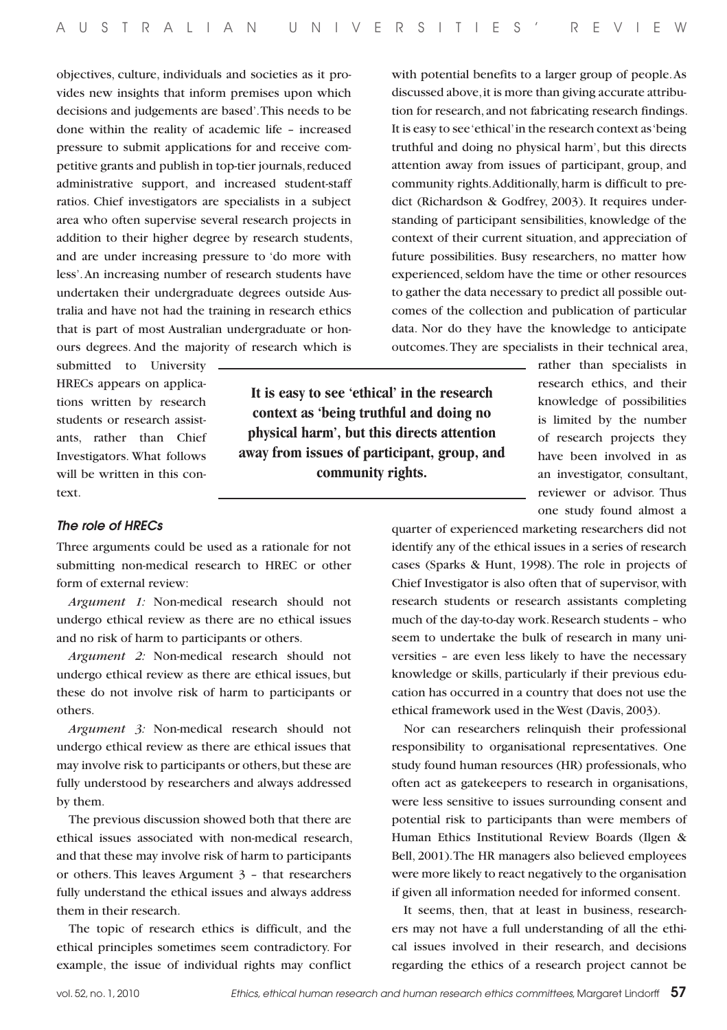objectives, culture, individuals and societies as it provides new insights that inform premises upon which decisions and judgements are based'. This needs to be done within the reality of academic life – increased pressure to submit applications for and receive competitive grants and publish in top-tier journals, reduced administrative support, and increased student-staff ratios. Chief investigators are specialists in a subject area who often supervise several research projects in addition to their higher degree by research students, and are under increasing pressure to 'do more with less'. An increasing number of research students have undertaken their undergraduate degrees outside Australia and have not had the training in research ethics that is part of most Australian undergraduate or honours degrees. And the majority of research which is

submitted to University HRECs appears on applications written by research students or research assistants, rather than Chief Investigators. What follows will be written in this context.

*The role of HRECs*

Three arguments could be used as a rationale for not submitting non-medical research to HREC or other form of external review:

*Argument 1:* Non-medical research should not undergo ethical review as there are no ethical issues and no risk of harm to participants or others.

*Argument 2:* Non-medical research should not undergo ethical review as there are ethical issues, but these do not involve risk of harm to participants or others.

*Argument 3:* Non-medical research should not undergo ethical review as there are ethical issues that may involve risk to participants or others, but these are fully understood by researchers and always addressed by them.

The previous discussion showed both that there are ethical issues associated with non-medical research, and that these may involve risk of harm to participants or others. This leaves Argument 3 – that researchers fully understand the ethical issues and always address them in their research.

The topic of research ethics is difficult, and the ethical principles sometimes seem contradictory. For example, the issue of individual rights may conflict

with potential benefits to a larger group of people. As discussed above, it is more than giving accurate attribution for research, and not fabricating research findings. It is easy to see 'ethical' in the research context as 'being truthful and doing no physical harm', but this directs attention away from issues of participant, group, and community rights. Additionally, harm is difficult to predict (Richardson & Godfrey, 2003). It requires understanding of participant sensibilities, knowledge of the context of their current situation, and appreciation of future possibilities. Busy researchers, no matter how experienced, seldom have the time or other resources to gather the data necessary to predict all possible outcomes of the collection and publication of particular data. Nor do they have the knowledge to anticipate outcomes. They are specialists in their technical area,

> rather than specialists in research ethics, and their knowledge of possibilities is limited by the number of research projects they have been involved in as an investigator, consultant, reviewer or advisor. Thus one study found almost a

quarter of experienced marketing researchers did not identify any of the ethical issues in a series of research cases (Sparks & Hunt, 1998). The role in projects of Chief Investigator is also often that of supervisor, with research students or research assistants completing much of the day-to-day work. Research students – who seem to undertake the bulk of research in many universities – are even less likely to have the necessary knowledge or skills, particularly if their previous education has occurred in a country that does not use the ethical framework used in the West (Davis, 2003).

Nor can researchers relinquish their professional responsibility to organisational representatives. One study found human resources (HR) professionals, who often act as gatekeepers to research in organisations, were less sensitive to issues surrounding consent and potential risk to participants than were members of Human Ethics Institutional Review Boards (Ilgen & Bell, 2001). The HR managers also believed employees were more likely to react negatively to the organisation if given all information needed for informed consent.

It seems, then, that at least in business, researchers may not have a full understanding of all the ethical issues involved in their research, and decisions regarding the ethics of a research project cannot be

**It is easy to see 'ethical' in the research context as 'being truthful and doing no physical harm', but this directs attention away from issues of participant, group, and community rights.**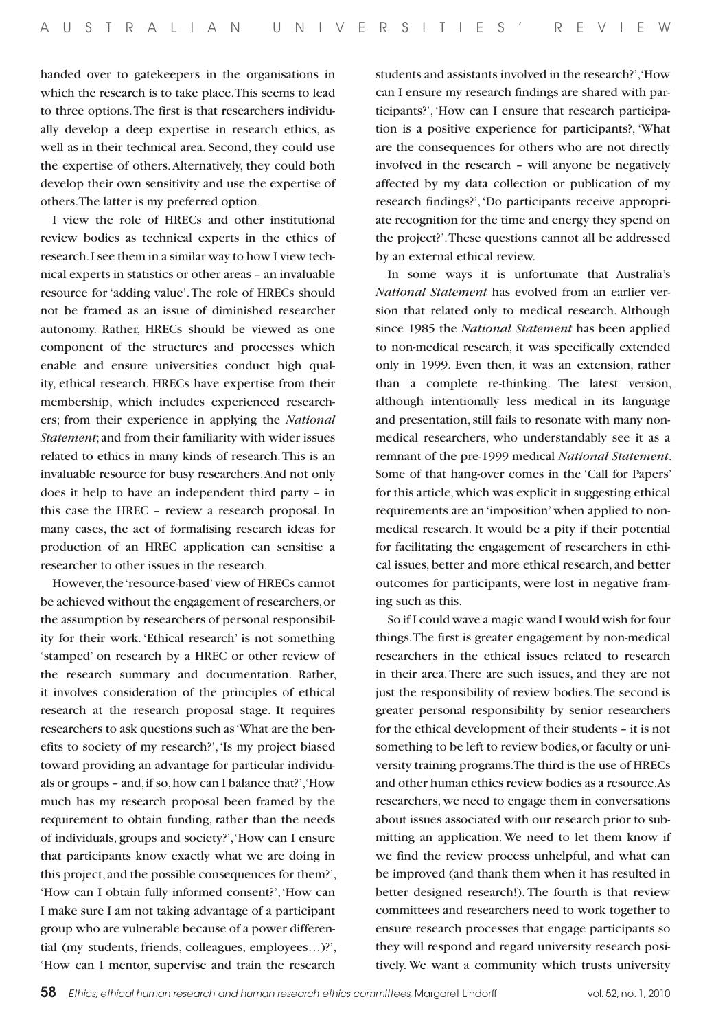handed over to gatekeepers in the organisations in which the research is to take place. This seems to lead to three options. The first is that researchers individually develop a deep expertise in research ethics, as well as in their technical area. Second, they could use the expertise of others. Alternatively, they could both develop their own sensitivity and use the expertise of others. The latter is my preferred option.

I view the role of HRECs and other institutional review bodies as technical experts in the ethics of research. I see them in a similar way to how I view technical experts in statistics or other areas – an invaluable resource for 'adding value'. The role of HRECs should not be framed as an issue of diminished researcher autonomy. Rather, HRECs should be viewed as one component of the structures and processes which enable and ensure universities conduct high quality, ethical research. HRECs have expertise from their membership, which includes experienced researchers; from their experience in applying the *National Statement*; and from their familiarity with wider issues related to ethics in many kinds of research. This is an invaluable resource for busy researchers. And not only does it help to have an independent third party – in this case the HREC – review a research proposal. In many cases, the act of formalising research ideas for production of an HREC application can sensitise a researcher to other issues in the research.

However, the 'resource-based' view of HRECs cannot be achieved without the engagement of researchers, or the assumption by researchers of personal responsibility for their work. 'Ethical research' is not something 'stamped' on research by a HREC or other review of the research summary and documentation. Rather, it involves consideration of the principles of ethical research at the research proposal stage. It requires researchers to ask questions such as 'What are the benefits to society of my research?', 'Is my project biased toward providing an advantage for particular individuals or groups – and, if so, how can I balance that?', 'How much has my research proposal been framed by the requirement to obtain funding, rather than the needs of individuals, groups and society?', 'How can I ensure that participants know exactly what we are doing in this project, and the possible consequences for them?', 'How can I obtain fully informed consent?', 'How can I make sure I am not taking advantage of a participant group who are vulnerable because of a power differential (my students, friends, colleagues, employees…)?', 'How can I mentor, supervise and train the research students and assistants involved in the research?', 'How can I ensure my research findings are shared with participants?', 'How can I ensure that research participation is a positive experience for participants?, 'What are the consequences for others who are not directly involved in the research – will anyone be negatively affected by my data collection or publication of my research findings?', 'Do participants receive appropriate recognition for the time and energy they spend on the project?'. These questions cannot all be addressed by an external ethical review.

In some ways it is unfortunate that Australia's *National Statement* has evolved from an earlier version that related only to medical research. Although since 1985 the *National Statement* has been applied to non-medical research, it was specifically extended only in 1999. Even then, it was an extension, rather than a complete re-thinking. The latest version, although intentionally less medical in its language and presentation, still fails to resonate with many nonmedical researchers, who understandably see it as a remnant of the pre-1999 medical *National Statement*. Some of that hang-over comes in the 'Call for Papers' for this article, which was explicit in suggesting ethical requirements are an 'imposition' when applied to nonmedical research. It would be a pity if their potential for facilitating the engagement of researchers in ethical issues, better and more ethical research, and better outcomes for participants, were lost in negative framing such as this.

So if I could wave a magic wand I would wish for four things. The first is greater engagement by non-medical researchers in the ethical issues related to research in their area. There are such issues, and they are not just the responsibility of review bodies. The second is greater personal responsibility by senior researchers for the ethical development of their students – it is not something to be left to review bodies, or faculty or university training programs. The third is the use of HRECs and other human ethics review bodies as a resource. As researchers, we need to engage them in conversations about issues associated with our research prior to submitting an application. We need to let them know if we find the review process unhelpful, and what can be improved (and thank them when it has resulted in better designed research!). The fourth is that review committees and researchers need to work together to ensure research processes that engage participants so they will respond and regard university research positively. We want a community which trusts university